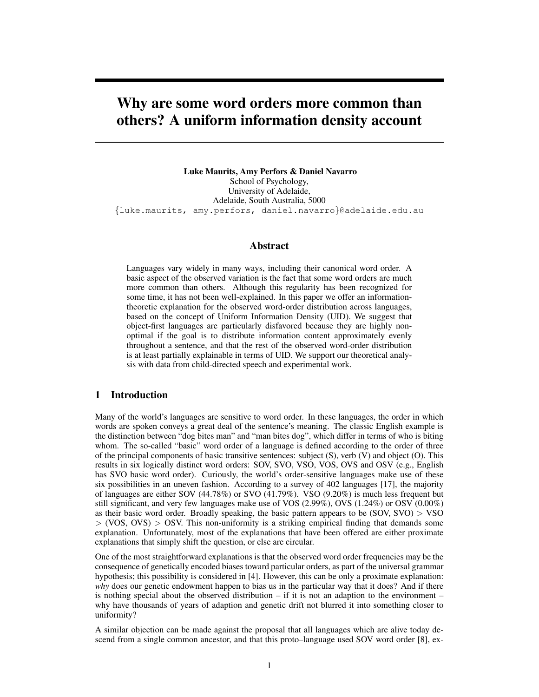# Why are some word orders more common than others? A uniform information density account

Luke Maurits, Amy Perfors & Daniel Navarro School of Psychology, University of Adelaide, Adelaide, South Australia, 5000 {luke.maurits, amy.perfors, daniel.navarro}@adelaide.edu.au

### Abstract

Languages vary widely in many ways, including their canonical word order. A basic aspect of the observed variation is the fact that some word orders are much more common than others. Although this regularity has been recognized for some time, it has not been well-explained. In this paper we offer an informationtheoretic explanation for the observed word-order distribution across languages, based on the concept of Uniform Information Density (UID). We suggest that object-first languages are particularly disfavored because they are highly nonoptimal if the goal is to distribute information content approximately evenly throughout a sentence, and that the rest of the observed word-order distribution is at least partially explainable in terms of UID. We support our theoretical analysis with data from child-directed speech and experimental work.

### 1 Introduction

Many of the world's languages are sensitive to word order. In these languages, the order in which words are spoken conveys a great deal of the sentence's meaning. The classic English example is the distinction between "dog bites man" and "man bites dog", which differ in terms of who is biting whom. The so-called "basic" word order of a language is defined according to the order of three of the principal components of basic transitive sentences: subject (S), verb (V) and object (O). This results in six logically distinct word orders: SOV, SVO, VSO, VOS, OVS and OSV (e.g., English has SVO basic word order). Curiously, the world's order-sensitive languages make use of these six possibilities in an uneven fashion. According to a survey of 402 languages [17], the majority of languages are either SOV (44.78%) or SVO (41.79%). VSO (9.20%) is much less frequent but still significant, and very few languages make use of VOS (2.99%), OVS (1.24%) or OSV (0.00%) as their basic word order. Broadly speaking, the basic pattern appears to be  $(SOV, SVO) > VSO$  $> (VOS, OVS) > OSV$ . This non-uniformity is a striking empirical finding that demands some explanation. Unfortunately, most of the explanations that have been offered are either proximate explanations that simply shift the question, or else are circular.

One of the most straightforward explanations is that the observed word order frequencies may be the consequence of genetically encoded biases toward particular orders, as part of the universal grammar hypothesis; this possibility is considered in [4]. However, this can be only a proximate explanation: *why* does our genetic endowment happen to bias us in the particular way that it does? And if there is nothing special about the observed distribution  $-$  if it is not an adaption to the environment  $$ why have thousands of years of adaption and genetic drift not blurred it into something closer to uniformity?

A similar objection can be made against the proposal that all languages which are alive today descend from a single common ancestor, and that this proto–language used SOV word order [8], ex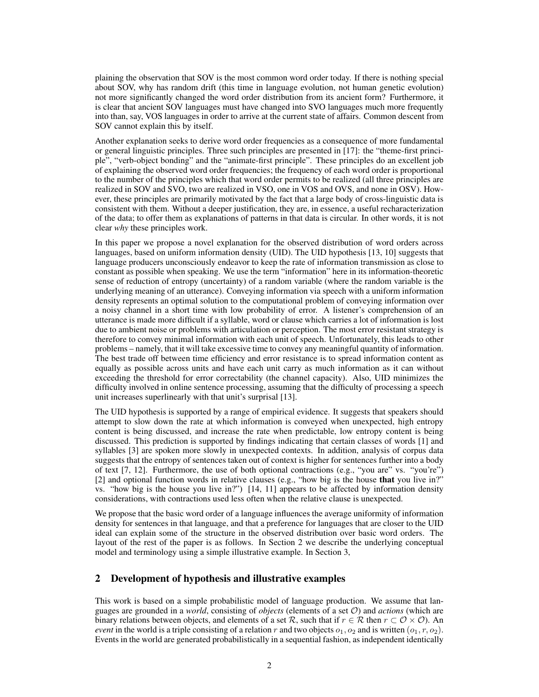plaining the observation that SOV is the most common word order today. If there is nothing special about SOV, why has random drift (this time in language evolution, not human genetic evolution) not more significantly changed the word order distribution from its ancient form? Furthermore, it is clear that ancient SOV languages must have changed into SVO languages much more frequently into than, say, VOS languages in order to arrive at the current state of affairs. Common descent from SOV cannot explain this by itself.

Another explanation seeks to derive word order frequencies as a consequence of more fundamental or general linguistic principles. Three such principles are presented in [17]: the "theme-first principle", "verb-object bonding" and the "animate-first principle". These principles do an excellent job of explaining the observed word order frequencies; the frequency of each word order is proportional to the number of the principles which that word order permits to be realized (all three principles are realized in SOV and SVO, two are realized in VSO, one in VOS and OVS, and none in OSV). However, these principles are primarily motivated by the fact that a large body of cross-linguistic data is consistent with them. Without a deeper justification, they are, in essence, a useful recharacterization of the data; to offer them as explanations of patterns in that data is circular. In other words, it is not clear *why* these principles work.

In this paper we propose a novel explanation for the observed distribution of word orders across languages, based on uniform information density (UID). The UID hypothesis [13, 10] suggests that language producers unconsciously endeavor to keep the rate of information transmission as close to constant as possible when speaking. We use the term "information" here in its information-theoretic sense of reduction of entropy (uncertainty) of a random variable (where the random variable is the underlying meaning of an utterance). Conveying information via speech with a uniform information density represents an optimal solution to the computational problem of conveying information over a noisy channel in a short time with low probability of error. A listener's comprehension of an utterance is made more difficult if a syllable, word or clause which carries a lot of information is lost due to ambient noise or problems with articulation or perception. The most error resistant strategy is therefore to convey minimal information with each unit of speech. Unfortunately, this leads to other problems – namely, that it will take excessive time to convey any meaningful quantity of information. The best trade off between time efficiency and error resistance is to spread information content as equally as possible across units and have each unit carry as much information as it can without exceeding the threshold for error correctability (the channel capacity). Also, UID minimizes the difficulty involved in online sentence processing, assuming that the difficulty of processing a speech unit increases superlinearly with that unit's surprisal [13].

The UID hypothesis is supported by a range of empirical evidence. It suggests that speakers should attempt to slow down the rate at which information is conveyed when unexpected, high entropy content is being discussed, and increase the rate when predictable, low entropy content is being discussed. This prediction is supported by findings indicating that certain classes of words [1] and syllables [3] are spoken more slowly in unexpected contexts. In addition, analysis of corpus data suggests that the entropy of sentences taken out of context is higher for sentences further into a body of text [7, 12]. Furthermore, the use of both optional contractions (e.g., "you are" vs. "you're") [2] and optional function words in relative clauses (e.g., "how big is the house that you live in?" vs. "how big is the house you live in?") [14, 11] appears to be affected by information density considerations, with contractions used less often when the relative clause is unexpected.

We propose that the basic word order of a language influences the average uniformity of information density for sentences in that language, and that a preference for languages that are closer to the UID ideal can explain some of the structure in the observed distribution over basic word orders. The layout of the rest of the paper is as follows. In Section 2 we describe the underlying conceptual model and terminology using a simple illustrative example. In Section 3,

## 2 Development of hypothesis and illustrative examples

This work is based on a simple probabilistic model of language production. We assume that languages are grounded in a *world*, consisting of *objects* (elements of a set O) and *actions* (which are binary relations between objects, and elements of a set  $\mathcal{R}$ , such that if  $r \in \mathcal{R}$  then  $r \subset \mathcal{O} \times \mathcal{O}$ . An *event* in the world is a triple consisting of a relation r and two objects  $o_1, o_2$  and is written  $(o_1, r, o_2)$ . Events in the world are generated probabilistically in a sequential fashion, as independent identically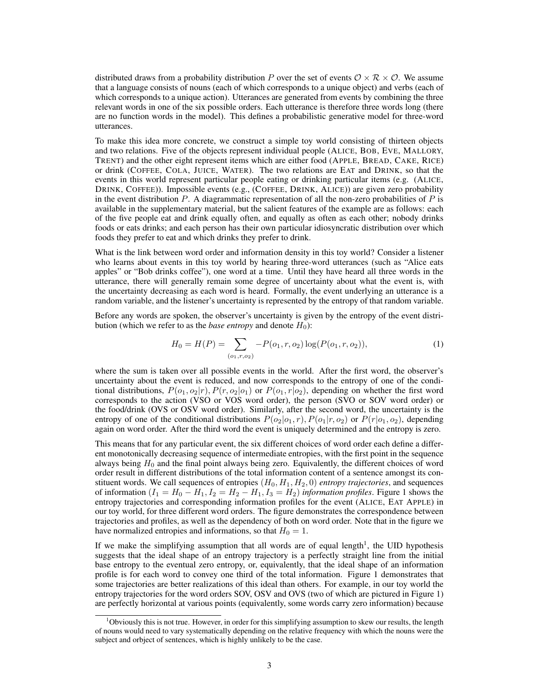distributed draws from a probability distribution P over the set of events  $\mathcal{O} \times \mathcal{R} \times \mathcal{O}$ . We assume that a language consists of nouns (each of which corresponds to a unique object) and verbs (each of which corresponds to a unique action). Utterances are generated from events by combining the three relevant words in one of the six possible orders. Each utterance is therefore three words long (there are no function words in the model). This defines a probabilistic generative model for three-word utterances.

To make this idea more concrete, we construct a simple toy world consisting of thirteen objects and two relations. Five of the objects represent individual people (ALICE, BOB, EVE, MALLORY, TRENT) and the other eight represent items which are either food (APPLE, BREAD, CAKE, RICE) or drink (COFFEE, COLA, JUICE, WATER). The two relations are EAT and DRINK, so that the events in this world represent particular people eating or drinking particular items (e.g. (ALICE, DRINK, COFFEE)). Impossible events (e.g., (COFFEE, DRINK, ALICE)) are given zero probability in the event distribution  $P$ . A diagrammatic representation of all the non-zero probabilities of  $P$  is available in the supplementary material, but the salient features of the example are as follows: each of the five people eat and drink equally often, and equally as often as each other; nobody drinks foods or eats drinks; and each person has their own particular idiosyncratic distribution over which foods they prefer to eat and which drinks they prefer to drink.

What is the link between word order and information density in this toy world? Consider a listener who learns about events in this toy world by hearing three-word utterances (such as "Alice eats apples" or "Bob drinks coffee"), one word at a time. Until they have heard all three words in the utterance, there will generally remain some degree of uncertainty about what the event is, with the uncertainty decreasing as each word is heard. Formally, the event underlying an utterance is a random variable, and the listener's uncertainty is represented by the entropy of that random variable.

Before any words are spoken, the observer's uncertainty is given by the entropy of the event distribution (which we refer to as the *base entropy* and denote  $H_0$ ):

$$
H_0 = H(P) = \sum_{(o_1, r, o_2)} -P(o_1, r, o_2) \log(P(o_1, r, o_2)),\tag{1}
$$

where the sum is taken over all possible events in the world. After the first word, the observer's uncertainty about the event is reduced, and now corresponds to the entropy of one of the conditional distributions,  $P(o_1, o_2|r)$ ,  $P(r, o_2|o_1)$  or  $P(o_1, r|o_2)$ , depending on whether the first word corresponds to the action (VSO or VOS word order), the person (SVO or SOV word order) or the food/drink (OVS or OSV word order). Similarly, after the second word, the uncertainty is the entropy of one of the conditional distributions  $P(o_2|o_1, r)$ ,  $P(o_1|r, o_2)$  or  $P(r|o_1, o_2)$ , depending again on word order. After the third word the event is uniquely determined and the entropy is zero.

This means that for any particular event, the six different choices of word order each define a different monotonically decreasing sequence of intermediate entropies, with the first point in the sequence always being  $H_0$  and the final point always being zero. Equivalently, the different choices of word order result in different distributions of the total information content of a sentence amongst its constituent words. We call sequences of entropies  $(H_0, H_1, H_2, 0)$  *entropy trajectories*, and sequences of information  $(I_1 = H_0 - H_1, I_2 = H_2 - H_1, I_3 = H_2)$  *information profiles*. Figure 1 shows the entropy trajectories and corresponding information profiles for the event (ALICE, EAT APPLE) in our toy world, for three different word orders. The figure demonstrates the correspondence between trajectories and profiles, as well as the dependency of both on word order. Note that in the figure we have normalized entropies and informations, so that  $H_0 = 1$ .

If we make the simplifying assumption that all words are of equal length<sup>1</sup>, the UID hypothesis suggests that the ideal shape of an entropy trajectory is a perfectly straight line from the initial base entropy to the eventual zero entropy, or, equivalently, that the ideal shape of an information profile is for each word to convey one third of the total information. Figure 1 demonstrates that some trajectories are better realizations of this ideal than others. For example, in our toy world the entropy trajectories for the word orders SOV, OSV and OVS (two of which are pictured in Figure 1) are perfectly horizontal at various points (equivalently, some words carry zero information) because

<sup>1</sup>Obviously this is not true. However, in order for this simplifying assumption to skew our results, the length of nouns would need to vary systematically depending on the relative frequency with which the nouns were the subject and orbject of sentences, which is highly unlikely to be the case.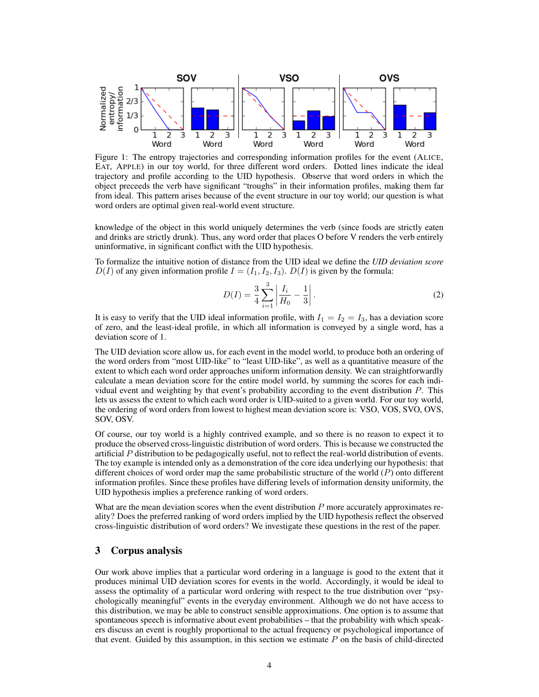

Figure 1: The entropy trajectories and corresponding information profiles for the event (ALICE, EAT, APPLE) in our toy world, for three different word orders. Dotted lines indicate the ideal trajectory and profile according to the UID hypothesis. Observe that word orders in which the object preceeds the verb have significant "troughs" in their information profiles, making them far from ideal. This pattern arises because of the event structure in our toy world; our question is what word orders are optimal given real-world event structure.

knowledge of the object in this world uniquely determines the verb (since foods are strictly eaten and drinks are strictly drunk). Thus, any word order that places O before V renders the verb entirely uninformative, in significant conflict with the UID hypothesis.

To formalize the intuitive notion of distance from the UID ideal we define the *UID deviation score*  $D(I)$  of any given information profile  $I = (I_1, I_2, I_3)$ .  $D(I)$  is given by the formula:

$$
D(I) = \frac{3}{4} \sum_{i=1}^{3} \left| \frac{I_i}{H_0} - \frac{1}{3} \right|.
$$
 (2)

It is easy to verify that the UID ideal information profile, with  $I_1 = I_2 = I_3$ , has a deviation score of zero, and the least-ideal profile, in which all information is conveyed by a single word, has a deviation score of 1.

The UID deviation score allow us, for each event in the model world, to produce both an ordering of the word orders from "most UID-like" to "least UID-like", as well as a quantitative measure of the extent to which each word order approaches uniform information density. We can straightforwardly calculate a mean deviation score for the entire model world, by summing the scores for each individual event and weighting by that event's probability according to the event distribution P. This lets us assess the extent to which each word order is UID-suited to a given world. For our toy world, the ordering of word orders from lowest to highest mean deviation score is: VSO, VOS, SVO, OVS, SOV, OSV.

Of course, our toy world is a highly contrived example, and so there is no reason to expect it to produce the observed cross-linguistic distribution of word orders. This is because we constructed the artificial P distribution to be pedagogically useful, not to reflect the real-world distribution of events. The toy example is intended only as a demonstration of the core idea underlying our hypothesis: that different choices of word order map the same probabilistic structure of the world  $(P)$  onto different information profiles. Since these profiles have differing levels of information density uniformity, the UID hypothesis implies a preference ranking of word orders.

What are the mean deviation scores when the event distribution  $P$  more accurately approximates reality? Does the preferred ranking of word orders implied by the UID hypothesis reflect the observed cross-linguistic distribution of word orders? We investigate these questions in the rest of the paper.

# 3 Corpus analysis

Our work above implies that a particular word ordering in a language is good to the extent that it produces minimal UID deviation scores for events in the world. Accordingly, it would be ideal to assess the optimality of a particular word ordering with respect to the true distribution over "psychologically meaningful" events in the everyday environment. Although we do not have access to this distribution, we may be able to construct sensible approximations. One option is to assume that spontaneous speech is informative about event probabilities – that the probability with which speakers discuss an event is roughly proportional to the actual frequency or psychological importance of that event. Guided by this assumption, in this section we estimate  $P$  on the basis of child-directed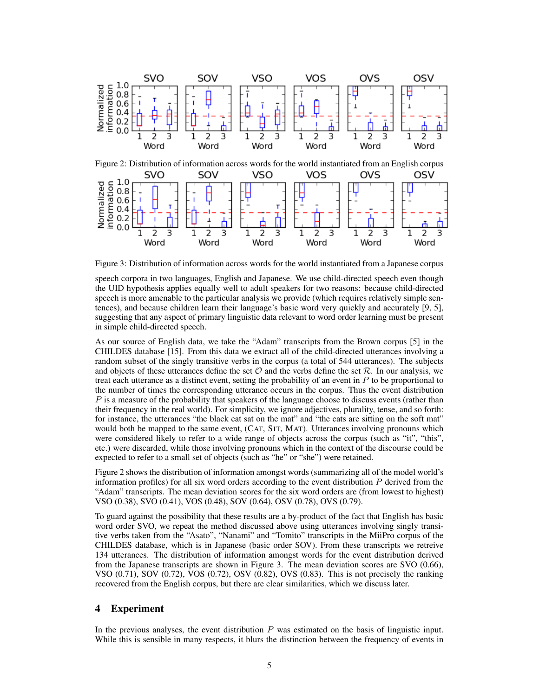

Figure 2: Distribution of information across words for the world instantiated from an English corpus SVO SOV **VSO** VOS **OVS** OSV  $\begin{array}{c} 1.0 \\ 0.8 \end{array}$ information Normalized  $0.6$  $0.4$  $0.2$  $0.0$ 3 1 2 3 1 2 3 1 2 3 1 2 3 1 2 3 Word Word Word Word Word Word

Figure 3: Distribution of information across words for the world instantiated from a Japanese corpus

speech corpora in two languages, English and Japanese. We use child-directed speech even though the UID hypothesis applies equally well to adult speakers for two reasons: because child-directed speech is more amenable to the particular analysis we provide (which requires relatively simple sentences), and because children learn their language's basic word very quickly and accurately [9, 5], suggesting that any aspect of primary linguistic data relevant to word order learning must be present in simple child-directed speech.

As our source of English data, we take the "Adam" transcripts from the Brown corpus [5] in the CHILDES database [15]. From this data we extract all of the child-directed utterances involving a random subset of the singly transitive verbs in the corpus (a total of 544 utterances). The subjects and objects of these utterances define the set  $\mathcal O$  and the verbs define the set  $\mathcal R$ . In our analysis, we treat each utterance as a distinct event, setting the probability of an event in  $P$  to be proportional to the number of times the corresponding utterance occurs in the corpus. Thus the event distribution  $P$  is a measure of the probability that speakers of the language choose to discuss events (rather than their frequency in the real world). For simplicity, we ignore adjectives, plurality, tense, and so forth: for instance, the utterances "the black cat sat on the mat" and "the cats are sitting on the soft mat" would both be mapped to the same event, (CAT, SIT, MAT). Utterances involving pronouns which were considered likely to refer to a wide range of objects across the corpus (such as "it", "this", etc.) were discarded, while those involving pronouns which in the context of the discourse could be expected to refer to a small set of objects (such as "he" or "she") were retained.

Figure 2 shows the distribution of information amongst words (summarizing all of the model world's information profiles) for all six word orders according to the event distribution P derived from the "Adam" transcripts. The mean deviation scores for the six word orders are (from lowest to highest) VSO (0.38), SVO (0.41), VOS (0.48), SOV (0.64), OSV (0.78), OVS (0.79).

To guard against the possibility that these results are a by-product of the fact that English has basic word order SVO, we repeat the method discussed above using utterances involving singly transitive verbs taken from the "Asato", "Nanami" and "Tomito" transcripts in the MiiPro corpus of the CHILDES database, which is in Japanese (basic order SOV). From these transcripts we retreive 134 utterances. The distribution of information amongst words for the event distribution derived from the Japanese transcripts are shown in Figure 3. The mean deviation scores are SVO (0.66), VSO  $(0.71)$ , SOV  $(0.72)$ , VOS  $(0.72)$ , OSV  $(0.82)$ , OVS  $(0.83)$ . This is not precisely the ranking recovered from the English corpus, but there are clear similarities, which we discuss later.

## 4 Experiment

In the previous analyses, the event distribution  $P$  was estimated on the basis of linguistic input. While this is sensible in many respects, it blurs the distinction between the frequency of events in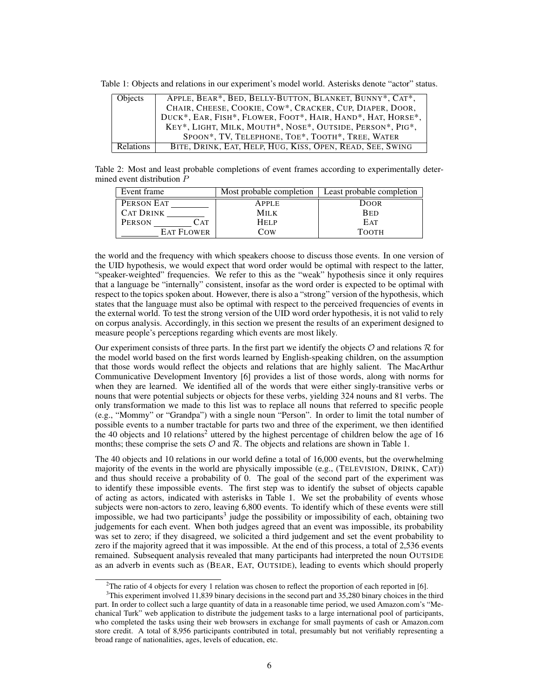Table 1: Objects and relations in our experiment's model world. Asterisks denote "actor" status.

| <b>Objects</b> | APPLE, BEAR*, BED, BELLY-BUTTON, BLANKET, BUNNY*, CAT*,     |  |  |
|----------------|-------------------------------------------------------------|--|--|
|                | CHAIR, CHEESE, COOKIE, COW*, CRACKER, CUP, DIAPER, DOOR,    |  |  |
|                | DUCK*, EAR, FISH*, FLOWER, FOOT*, HAIR, HAND*, HAT, HORSE*, |  |  |
|                | KEY*, LIGHT, MILK, MOUTH*, NOSE*, OUTSIDE, PERSON*, PIG*,   |  |  |
|                | SPOON*, TV, TELEPHONE, TOE*, TOOTH*, TREE, WATER            |  |  |
| Relations      | BITE, DRINK, EAT, HELP, HUG, KISS, OPEN, READ, SEE, SWING   |  |  |

Table 2: Most and least probable completions of event frames according to experimentally determined event distribution P

| Event frame           | Most probable completion | Least probable completion |
|-----------------------|--------------------------|---------------------------|
| PERSON EAT            | <b>APPLE</b>             | <b>DOOR</b>               |
| <b>CAT DRINK</b>      | <b>MILK</b>              | <b>BED</b>                |
| <b>PERSON</b><br>C AT | Help                     | <b>EAT</b>                |
| <b>EAT FLOWER</b>     | Cow                      | ТООТН                     |

the world and the frequency with which speakers choose to discuss those events. In one version of the UID hypothesis, we would expect that word order would be optimal with respect to the latter, "speaker-weighted" frequencies. We refer to this as the "weak" hypothesis since it only requires that a language be "internally" consistent, insofar as the word order is expected to be optimal with respect to the topics spoken about. However, there is also a "strong" version of the hypothesis, which states that the language must also be optimal with respect to the perceived frequencies of events in the external world. To test the strong version of the UID word order hypothesis, it is not valid to rely on corpus analysis. Accordingly, in this section we present the results of an experiment designed to measure people's perceptions regarding which events are most likely.

Our experiment consists of three parts. In the first part we identify the objects  $O$  and relations  $R$  for the model world based on the first words learned by English-speaking children, on the assumption that those words would reflect the objects and relations that are highly salient. The MacArthur Communicative Development Inventory [6] provides a list of those words, along with norms for when they are learned. We identified all of the words that were either singly-transitive verbs or nouns that were potential subjects or objects for these verbs, yielding 324 nouns and 81 verbs. The only transformation we made to this list was to replace all nouns that referred to specific people (e.g., "Mommy" or "Grandpa") with a single noun "Person". In order to limit the total number of possible events to a number tractable for parts two and three of the experiment, we then identified the 40 objects and 10 relations<sup>2</sup> uttered by the highest percentage of children below the age of 16 months; these comprise the sets  $\mathcal O$  and  $\mathcal R$ . The objects and relations are shown in Table 1.

The 40 objects and 10 relations in our world define a total of 16,000 events, but the overwhelming majority of the events in the world are physically impossible (e.g., (TELEVISION, DRINK, CAT)) and thus should receive a probability of 0. The goal of the second part of the experiment was to identify these impossible events. The first step was to identify the subset of objects capable of acting as actors, indicated with asterisks in Table 1. We set the probability of events whose subjects were non-actors to zero, leaving 6,800 events. To identify which of these events were still impossible, we had two participants<sup>3</sup> judge the possibility or impossibility of each, obtaining two judgements for each event. When both judges agreed that an event was impossible, its probability was set to zero; if they disagreed, we solicited a third judgement and set the event probability to zero if the majority agreed that it was impossible. At the end of this process, a total of 2,536 events remained. Subsequent analysis revealed that many participants had interpreted the noun OUTSIDE as an adverb in events such as (BEAR, EAT, OUTSIDE), leading to events which should properly

<sup>&</sup>lt;sup>2</sup>The ratio of 4 objects for every 1 relation was chosen to reflect the proportion of each reported in [6].

<sup>&</sup>lt;sup>3</sup>This experiment involved 11,839 binary decisions in the second part and 35,280 binary choices in the third part. In order to collect such a large quantity of data in a reasonable time period, we used Amazon.com's "Mechanical Turk" web application to distribute the judgement tasks to a large international pool of participants, who completed the tasks using their web browsers in exchange for small payments of cash or Amazon.com store credit. A total of 8,956 participants contributed in total, presumably but not verifiably representing a broad range of nationalities, ages, levels of education, etc.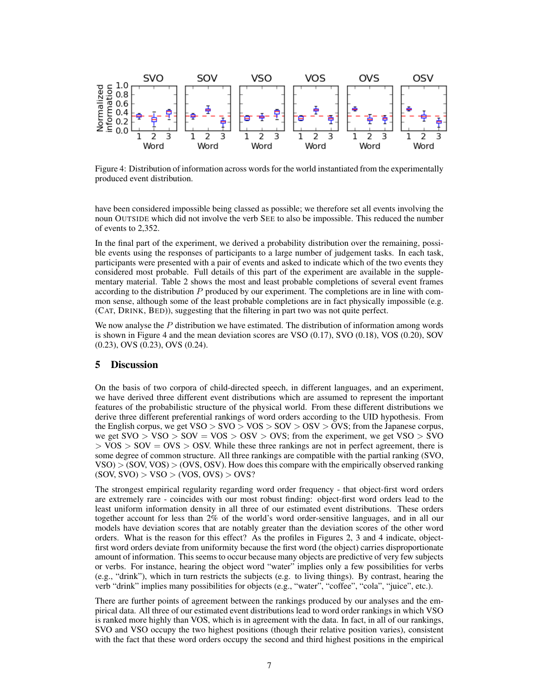

Figure 4: Distribution of information across words for the world instantiated from the experimentally produced event distribution.

have been considered impossible being classed as possible; we therefore set all events involving the noun OUTSIDE which did not involve the verb SEE to also be impossible. This reduced the number of events to 2,352.

In the final part of the experiment, we derived a probability distribution over the remaining, possible events using the responses of participants to a large number of judgement tasks. In each task, participants were presented with a pair of events and asked to indicate which of the two events they considered most probable. Full details of this part of the experiment are available in the supplementary material. Table 2 shows the most and least probable completions of several event frames according to the distribution  $P$  produced by our experiment. The completions are in line with common sense, although some of the least probable completions are in fact physically impossible (e.g. (CAT, DRINK, BED)), suggesting that the filtering in part two was not quite perfect.

We now analyse the  $P$  distribution we have estimated. The distribution of information among words is shown in Figure 4 and the mean deviation scores are VSO (0.17), SVO (0.18), VOS (0.20), SOV (0.23), OVS (0.23), OVS (0.24).

#### 5 Discussion

On the basis of two corpora of child-directed speech, in different languages, and an experiment, we have derived three different event distributions which are assumed to represent the important features of the probabilistic structure of the physical world. From these different distributions we derive three different preferential rankings of word orders according to the UID hypothesis. From the English corpus, we get  $VSO > SVO > VOS > SOV > OSV > OVS$ ; from the Japanese corpus, we get  $SVO > VSO > SOV = VOS > OSV > OVS$ ; from the experiment, we get  $VSO > SVO$  $>$  VOS  $>$  SOV = OVS  $>$  OSV. While these three rankings are not in perfect agreement, there is some degree of common structure. All three rankings are compatible with the partial ranking (SVO,  $VSO$   $>$  (SOV, VOS)  $>$  (OVS, OSV). How does this compare with the empirically observed ranking  $(SOV, SVO) > VSO > (VOS, OVS) > OVS?$ 

The strongest empirical regularity regarding word order frequency - that object-first word orders are extremely rare - coincides with our most robust finding: object-first word orders lead to the least uniform information density in all three of our estimated event distributions. These orders together account for less than 2% of the world's word order-sensitive languages, and in all our models have deviation scores that are notably greater than the deviation scores of the other word orders. What is the reason for this effect? As the profiles in Figures 2, 3 and 4 indicate, objectfirst word orders deviate from uniformity because the first word (the object) carries disproportionate amount of information. This seems to occur because many objects are predictive of very few subjects or verbs. For instance, hearing the object word "water" implies only a few possibilities for verbs (e.g., "drink"), which in turn restricts the subjects (e.g. to living things). By contrast, hearing the verb "drink" implies many possibilities for objects (e.g., "water", "coffee", "cola", "juice", etc.).

There are further points of agreement between the rankings produced by our analyses and the empirical data. All three of our estimated event distributions lead to word order rankings in which VSO is ranked more highly than VOS, which is in agreement with the data. In fact, in all of our rankings, SVO and VSO occupy the two highest positions (though their relative position varies), consistent with the fact that these word orders occupy the second and third highest positions in the empirical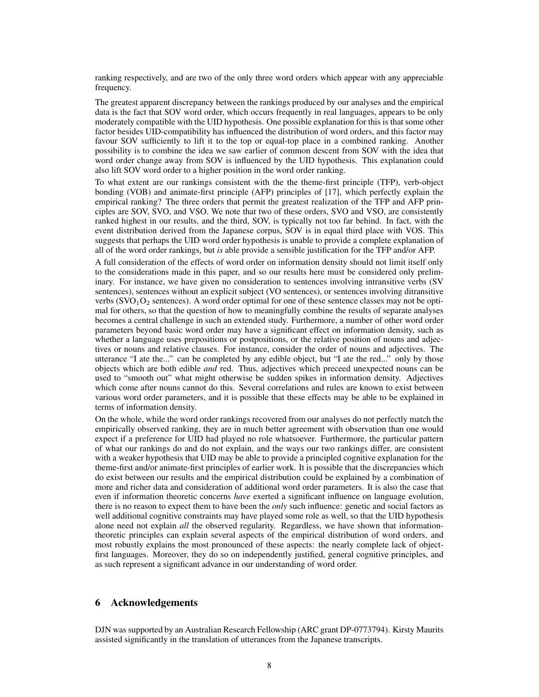ranking respectively, and are two of the only three word orders which appear with any appreciable frequency.

The greatest apparent discrepancy between the rankings produced by our analyses and the empirical data is the fact that SOV word order, which occurs frequently in real languages, appears to be only moderately compatible with the UID hypothesis. One possible explanation for this is that some other factor besides UID-compatibility has influenced the distribution of word orders, and this factor may favour SOV sufficiently to lift it to the top or equal-top place in a combined ranking. Another possibility is to combine the idea we saw earlier of common descent from SOV with the idea that word order change away from SOV is influenced by the UID hypothesis. This explanation could also lift SOV word order to a higher position in the word order ranking.

To what extent are our rankings consistent with the the theme-first principle (TFP), verb-object bonding (VOB) and animate-first principle (AFP) principles of [17], which perfectly explain the empirical ranking? The three orders that permit the greatest realization of the TFP and AFP principles are SOV, SVO, and VSO. We note that two of these orders, SVO and VSO, are consistently ranked highest in our results, and the third, SOV, is typically not too far behind. In fact, with the event distribution derived from the Japanese corpus, SOV is in equal third place with VOS. This suggests that perhaps the UID word order hypothesis is unable to provide a complete explanation of all of the word order rankings, but *is* able provide a sensible justification for the TFP and/or AFP.

A full consideration of the effects of word order on information density should not limit itself only to the considerations made in this paper, and so our results here must be considered only preliminary. For instance, we have given no consideration to sentences involving intransitive verbs (SV sentences), sentences without an explicit subject (VO sentences), or sentences involving ditransitive verbs  $(SVO<sub>1</sub>O<sub>2</sub>$  sentences). A word order optimal for one of these sentence classes may not be optimal for others, so that the question of how to meaningfully combine the results of separate analyses becomes a central challenge in such an extended study. Furthermore, a number of other word order parameters beyond basic word order may have a significant effect on information density, such as whether a language uses prepositions or postpositions, or the relative position of nouns and adjectives or nouns and relative clauses. For instance, consider the order of nouns and adjectives. The utterance "I ate the..." can be completed by any edible object, but "I ate the red..." only by those objects which are both edible *and* red. Thus, adjectives which preceed unexpected nouns can be used to "smooth out" what might otherwise be sudden spikes in information density. Adjectives which come after nouns cannot do this. Several correlations and rules are known to exist between various word order parameters, and it is possible that these effects may be able to be explained in terms of information density.

On the whole, while the word order rankings recovered from our analyses do not perfectly match the empirically observed ranking, they are in much better agreement with observation than one would expect if a preference for UID had played no role whatsoever. Furthermore, the particular pattern of what our rankings do and do not explain, and the ways our two rankings differ, are consistent with a weaker hypothesis that UID may be able to provide a principled cognitive explanation for the theme-first and/or animate-first principles of earlier work. It is possible that the discrepancies which do exist between our results and the empirical distribution could be explained by a combination of more and richer data and consideration of additional word order parameters. It is also the case that even if information theoretic concerns *have* exerted a significant influence on language evolution, there is no reason to expect them to have been the *only* such influence: genetic and social factors as well additional cognitive constraints may have played some role as well, so that the UID hypothesis alone need not explain *all* the observed regularity. Regardless, we have shown that informationtheoretic principles can explain several aspects of the empirical distribution of word orders, and most robustly explains the most pronounced of these aspects: the nearly complete lack of objectfirst languages. Moreover, they do so on independently justified, general cognitive principles, and as such represent a significant advance in our understanding of word order.

## 6 Acknowledgements

DJN was supported by an Australian Research Fellowship (ARC grant DP-0773794). Kirsty Maurits assisted significantly in the translation of utterances from the Japanese transcripts.